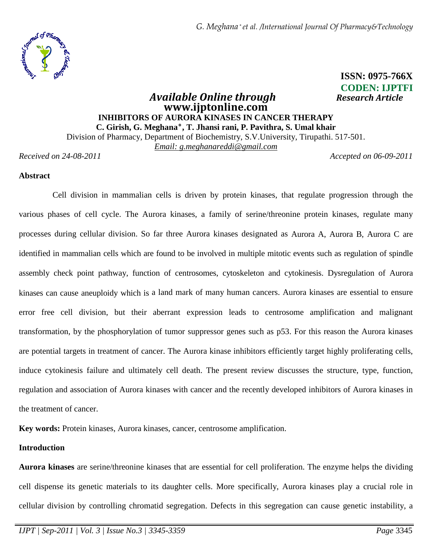*G. Meghana \* et al. /International Journal Of Pharmacy&Technology*



# **ISSN: 0975-766X CODEN: IJPTFI**

# *Available Online through Research Article*  **www.ijptonline.com INHIBITORS OF AURORA KINASES IN CANCER THERAPY C. Girish, G. Meghana٭, T. Jhansi rani, P. Pavithra, S. Umal khair**

Division of Pharmacy, Department of Biochemistry, S.V.University, Tirupathi. 517-501. *Email: g.meghanareddi@gmail.com*

*Received on 24-08-2011 Accepted on 06-09-2011*

# **Abstract**

Cell division in mammalian cells is driven by protein kinases, that regulate progression through the various phases of cell cycle. The Aurora kinases, a family of serine/threonine protein kinases, regulate many processes during cellular division. So far three Aurora kinases designated as Aurora A, Aurora B, Aurora C are identified in mammalian cells which are found to be involved in multiple mitotic events such as regulation of spindle assembly check point pathway, function of centrosomes, cytoskeleton and cytokinesis. Dysregulation of Aurora kinases can cause aneuploidy which is a land mark of many human cancers. Aurora kinases are essential to ensure error free cell division, but their aberrant expression leads to centrosome amplification and malignant transformation, by the phosphorylation of tumor suppressor genes such as p53. For this reason the Aurora kinases are potential targets in treatment of cancer. The Aurora kinase inhibitors efficiently target highly proliferating cells, induce cytokinesis failure and ultimately cell death. The present review discusses the structure, type, function, regulation and association of Aurora kinases with cancer and the recently developed inhibitors of Aurora kinases in the treatment of cancer.

**Key words:** Protein kinases, Aurora kinases, cancer, centrosome amplification.

# **Introduction**

**Aurora kinases** are serine/threonine kinases that are essential for cell proliferation. The enzyme helps the dividing cell dispense its genetic materials to its daughter cells. More specifically, Aurora kinases play a crucial role in cellular division by controlling chromatid segregation. Defects in this segregation can cause genetic instability, a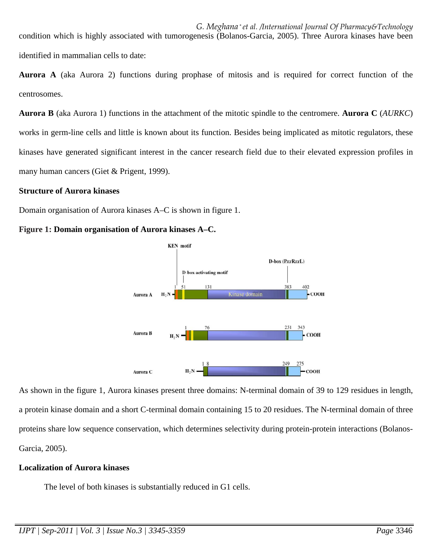*G. Meghana \* et al. /International Journal Of Pharmacy&Technology* condition which is highly associated with tumorogenesis (Bolanos-Garcia, 2005). Three Aurora kinases have been identified in mammalian cells to date:

**Aurora A** (aka Aurora 2) functions during prophase of mitosis and is required for correct function of the centrosomes.

**Aurora B** (aka Aurora 1) functions in the attachment of the mitotic spindle to the centromere. **Aurora C** (*AURKC*) works in germ-line cells and little is known about its function. Besides being implicated as mitotic regulators, these kinases have generated significant interest in the cancer research field due to their elevated expression profiles in many human cancers (Giet & Prigent, 1999).

# **Structure of Aurora kinases**

Domain organisation of Aurora kinases A–C is shown in figure 1.

# **Figure 1: Domain organisation of Aurora kinases A–C.**



As shown in the figure 1, Aurora kinases present three domains: N-terminal domain of 39 to 129 residues in length, a protein kinase domain and a short C-terminal domain containing 15 to 20 residues. The N-terminal domain of three proteins share low sequence conservation, which determines selectivity during protein-protein interactions (Bolanos-Garcia, 2005).

# **Localization of Aurora kinases**

The level of both kinases is substantially reduced in G1 cells.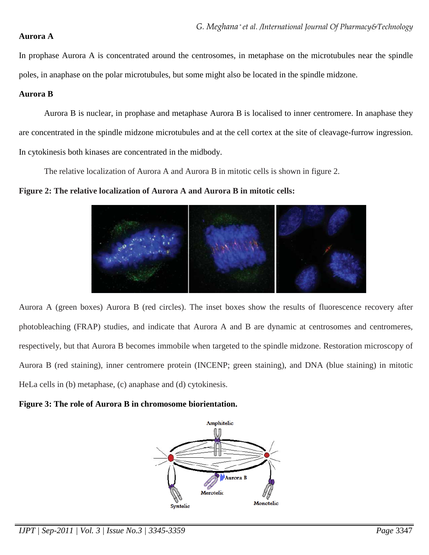#### **Aurora A**

In prophase Aurora A is concentrated around the centrosomes, in metaphase on the microtubules near the spindle poles, in anaphase on the polar microtubules, but some might also be located in the spindle midzone.

# **Aurora B**

Aurora B is nuclear, in prophase and metaphase Aurora B is localised to inner centromere. In anaphase they are concentrated in the spindle midzone microtubules and at the cell cortex at the site of cleavage-furrow ingression. In cytokinesis both kinases are concentrated in the midbody.

The relative localization of Aurora A and Aurora B in mitotic cells is shown in figure 2.

**Figure 2: The relative localization of Aurora A and Aurora B in mitotic cells:**



Aurora A (green boxes) Aurora B (red circles). The inset boxes show the results of fluorescence recovery after photobleaching (FRAP) studies, and indicate that Aurora A and B are dynamic at centrosomes and centromeres, respectively, but that Aurora B becomes immobile when targeted to the spindle midzone. Restoration microscopy of Aurora B (red staining), inner centromere protein (INCENP; green staining), and DNA (blue staining) in mitotic HeLa cells in (b) metaphase, (c) anaphase and (d) cytokinesis.

**Figure 3: The role of Aurora B in chromosome biorientation.** 



*IJPT | Sep-2011 | Vol. 3 | Issue No.3 | 3345-3359 Page* 3347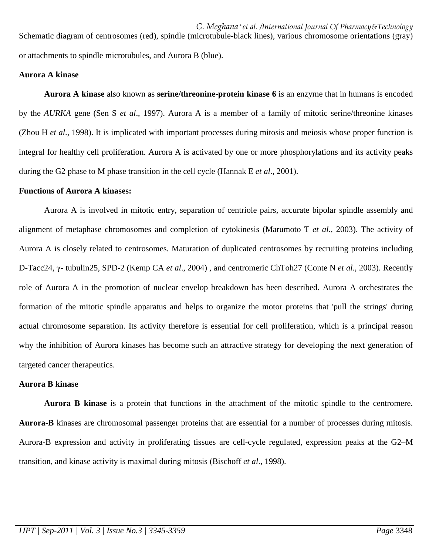*G. Meghana \* et al. /International Journal Of Pharmacy&Technology* Schematic diagram of centrosomes (red), spindle (microtubule-black lines), various chromosome orientations (gray) or attachments to spindle microtubules, and Aurora B (blue).

## **Aurora A kinase**

**Aurora A kinase** also known as **serine/threonine-protein kinase 6** is an enzyme that in humans is encoded by the *AURKA* gene (Sen S *et al*., 1997). Aurora A is a member of a family of mitotic serine/threonine kinases (Zhou H *et al*., 1998). It is implicated with important processes during mitosis and meiosis whose proper function is integral for healthy cell proliferation. Aurora A is activated by one or more phosphorylations and its activity peaks during the G2 phase to M phase transition in the cell cycle (Hannak E *et al*., 2001).

#### **Functions of Aurora A kinases:**

Aurora A is involved in mitotic entry, separation of centriole pairs, accurate bipolar spindle assembly and alignment of metaphase chromosomes and completion of cytokinesis (Marumoto T *et al*., 2003). The activity of Aurora A is closely related to centrosomes. Maturation of duplicated centrosomes by recruiting proteins including D-Tacc24, γ- tubulin25, SPD-2 (Kemp CA *et al*., 2004) , and centromeric ChToh27 (Conte N *et al*., 2003). Recently role of Aurora A in the promotion of nuclear envelop breakdown has been described. Aurora A orchestrates the formation of the mitotic spindle apparatus and helps to organize the motor proteins that 'pull the strings' during actual chromosome separation. Its activity therefore is essential for cell proliferation, which is a principal reason why the inhibition of Aurora kinases has become such an attractive strategy for developing the next generation of targeted cancer therapeutics.

# **Aurora B kinase**

**Aurora B kinase** is a protein that functions in the attachment of the mitotic spindle to the centromere. **Aurora-B** kinases are chromosomal passenger proteins that are essential for a number of processes during mitosis. Aurora-B expression and activity in proliferating tissues are cell-cycle regulated, expression peaks at the G2–M transition, and kinase activity is maximal during mitosis (Bischoff *et al*., 1998).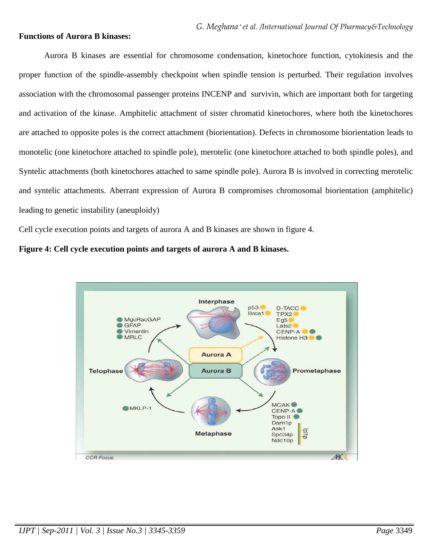### **Functions of Aurora B kinases:**

Aurora B kinases are essential for chromosome condensation, kinetochore function, cytokinesis and the proper function of the spindle-assembly checkpoint when spindle tension is perturbed. Their regulation involves association with the chromosomal passenger proteins INCENP and survivin, which are important both for targeting and activation of the kinase. Amphitelic attachment of sister chromatid kinetochores, where both the kinetochores are attached to opposite poles is the correct attachment (biorientation). Defects in chromosome biorientation leads to monotelic (one kinetochore attached to spindle pole), merotelic (one kinetochore attached to both spindle poles), and Syntelic attachments (both kinetochores attached to same spindle pole). Aurora B is involved in correcting merotelic and syntelic attachments. Aberrant expression of Aurora B compromises chromosomal biorientation (amphitelic) leading to genetic instability (aneuploidy)

Cell cycle execution points and targets of aurora A and B kinases are shown in figure 4.



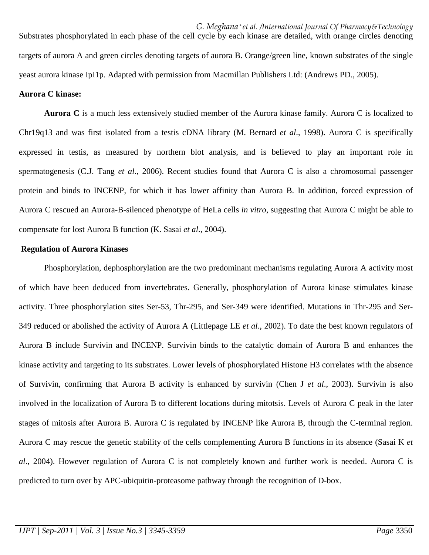*G. Meghana \* et al. /International Journal Of Pharmacy&Technology* Substrates phosphorylated in each phase of the cell cycle by each kinase are detailed, with orange circles denoting targets of aurora A and green circles denoting targets of aurora B. Orange/green line, known substrates of the single yeast aurora kinase IpI1p. Adapted with permission from Macmillan Publishers Ltd: (Andrews PD., 2005).

# **Aurora C kinase:**

**Aurora C** is a much less extensively studied member of the Aurora kinase family. Aurora C is localized to Chr19q13 and was first isolated from a testis cDNA library (M. Bernard *et al*., 1998). Aurora C is specifically expressed in testis, as measured by northern blot analysis, and is believed to play an important role in spermatogenesis (C.J. Tang *et al*., 2006). Recent studies found that Aurora C is also a chromosomal passenger protein and binds to INCENP, for which it has lower affinity than Aurora B. In addition, forced expression of Aurora C rescued an Aurora-B-silenced phenotype of HeLa cells *in vitro*, suggesting that Aurora C might be able to compensate for lost Aurora B function (K. Sasai *et al*., 2004).

#### **Regulation of Aurora Kinases**

Phosphorylation, dephosphorylation are the two predominant mechanisms regulating Aurora A activity most of which have been deduced from invertebrates. Generally, phosphorylation of Aurora kinase stimulates kinase activity. Three phosphorylation sites Ser-53, Thr-295, and Ser-349 were identified. Mutations in Thr-295 and Ser-349 reduced or abolished the activity of Aurora A (Littlepage LE *et al*., 2002). To date the best known regulators of Aurora B include Survivin and INCENP. Survivin binds to the catalytic domain of Aurora B and enhances the kinase activity and targeting to its substrates. Lower levels of phosphorylated Histone H3 correlates with the absence of Survivin, confirming that Aurora B activity is enhanced by survivin (Chen J *et al*., 2003). Survivin is also involved in the localization of Aurora B to different locations during mitotsis. Levels of Aurora C peak in the later stages of mitosis after Aurora B. Aurora C is regulated by INCENP like Aurora B, through the C-terminal region. Aurora C may rescue the genetic stability of the cells complementing Aurora B functions in its absence (Sasai K *et al*., 2004). However regulation of Aurora C is not completely known and further work is needed. Aurora C is predicted to turn over by APC-ubiquitin-proteasome pathway through the recognition of D-box.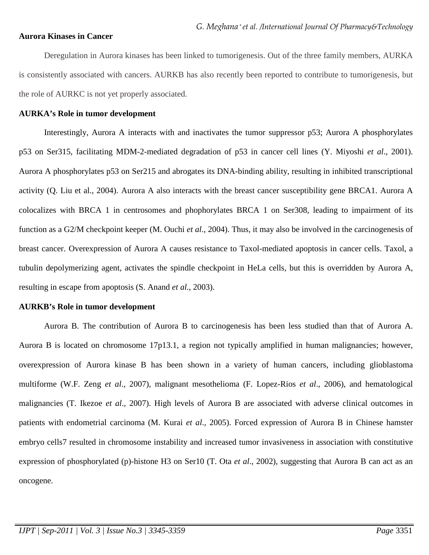#### **Aurora Kinases in Cancer**

Deregulation in Aurora kinases has been linked to tumorigenesis. Out of the three family members, AURKA is consistently associated with cancers. AURKB has also recently been reported to contribute to tumorigenesis, but the role of AURKC is not yet properly associated.

#### **AURKA's Role in tumor development**

Interestingly, Aurora A interacts with and inactivates the tumor suppressor p53; Aurora A phosphorylates p53 on Ser315, facilitating MDM-2-mediated degradation of p53 in cancer cell lines (Y. Miyoshi *et al*., 2001). Aurora A phosphorylates p53 on Ser215 and abrogates its DNA-binding ability, resulting in inhibited transcriptional activity (Q. Liu et al., 2004). Aurora A also interacts with the breast cancer susceptibility gene BRCA1. Aurora A colocalizes with BRCA 1 in centrosomes and phophorylates BRCA 1 on Ser308, leading to impairment of its function as a G2/M checkpoint keeper (M. Ouchi *et al*., 2004). Thus, it may also be involved in the carcinogenesis of breast cancer. Overexpression of Aurora A causes resistance to Taxol-mediated apoptosis in cancer cells. Taxol, a tubulin depolymerizing agent, activates the spindle checkpoint in HeLa cells, but this is overridden by Aurora A, resulting in escape from apoptosis (S. Anand *et al*., 2003).

#### **AURKB's Role in tumor development**

Aurora B. The contribution of Aurora B to carcinogenesis has been less studied than that of Aurora A. Aurora B is located on chromosome 17p13.1, a region not typically amplified in human malignancies; however, overexpression of Aurora kinase B has been shown in a variety of human cancers, including glioblastoma multiforme (W.F. Zeng *et al*., 2007), malignant mesothelioma (F. Lopez-Rios *et al*., 2006), and hematological malignancies (T. Ikezoe *et al*., 2007). High levels of Aurora B are associated with adverse clinical outcomes in patients with endometrial carcinoma (M. Kurai *et al*., 2005). Forced expression of Aurora B in Chinese hamster embryo cells7 resulted in chromosome instability and increased tumor invasiveness in association with constitutive expression of phosphorylated (p)-histone H3 on Ser10 (T. Ota *et al*., 2002), suggesting that Aurora B can act as an oncogene.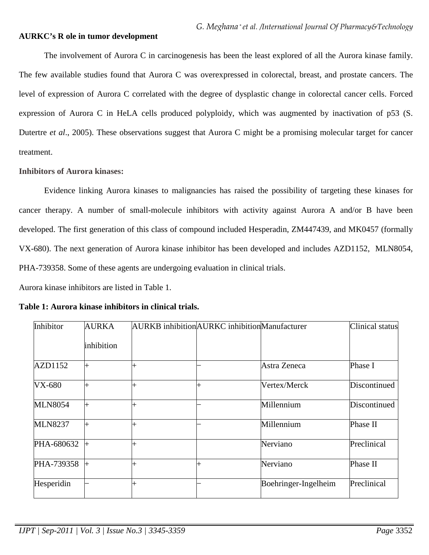## **AURKC's R ole in tumor development**

The involvement of Aurora C in carcinogenesis has been the least explored of all the Aurora kinase family. The few available studies found that Aurora C was overexpressed in colorectal, breast, and prostate cancers. The level of expression of Aurora C correlated with the degree of dysplastic change in colorectal cancer cells. Forced expression of Aurora C in HeLA cells produced polyploidy, which was augmented by inactivation of p53 (S. Dutertre *et al*., 2005). These observations suggest that Aurora C might be a promising molecular target for cancer treatment.

# **Inhibitors of Aurora kinases:**

Evidence linking Aurora kinases to malignancies has raised the possibility of targeting these kinases for cancer therapy. A number of small-molecule inhibitors with activity against Aurora A and/or B have been developed. The first generation of this class of compound included Hesperadin, ZM447439, and MK0457 (formally VX-680). The next generation of Aurora kinase inhibitor has been developed and includes AZD1152, MLN8054, PHA-739358. Some of these agents are undergoing evaluation in clinical trials.

Aurora kinase inhibitors are listed in Table 1.

| Inhibitor      | <b>AURKA</b> |   | <b>AURKB</b> inhibition <b>AURKC</b> inhibition <b>Manufacturer</b> |                      | Clinical status |
|----------------|--------------|---|---------------------------------------------------------------------|----------------------|-----------------|
|                | inhibition   |   |                                                                     |                      |                 |
| AZD1152        |              |   |                                                                     | Astra Zeneca         | Phase I         |
| <b>VX-680</b>  |              |   | $^{+}$                                                              | Vertex/Merck         | Discontinued    |
| <b>MLN8054</b> | $^{+}$       | 4 |                                                                     | Millennium           | Discontinued    |
| <b>MLN8237</b> | $^{+}$       | 4 |                                                                     | Millennium           | Phase II        |
| PHA-680632     | $\pm$        |   |                                                                     | Nerviano             | Preclinical     |
| PHA-739358     |              |   | ┯                                                                   | Nerviano             | Phase II        |
| Hesperidin     |              |   |                                                                     | Boehringer-Ingelheim | Preclinical     |

**Table 1: Aurora kinase inhibitors in clinical trials.**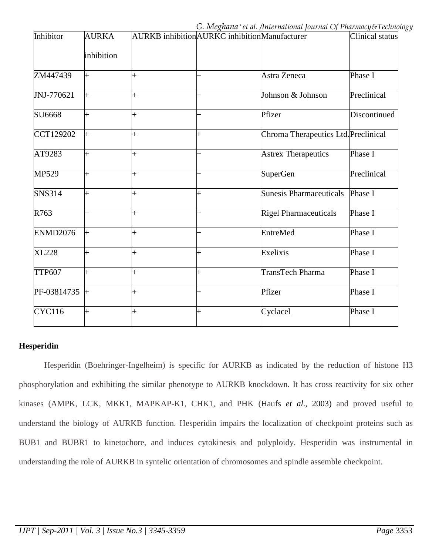| Inhibitor       | <b>AURKA</b>   | AURKB inhibition AURKC inhibition Manufacturer |                |                                      | Clinical status      |
|-----------------|----------------|------------------------------------------------|----------------|--------------------------------------|----------------------|
|                 | inhibition     |                                                |                |                                      |                      |
| ZM447439        | $\ddot{}$      | $^{+}$                                         |                | Astra Zeneca                         | Phase I              |
| JNJ-770621      | $\ddot{}$      | $^{+}$                                         |                | Johnson & Johnson                    | Preclinical          |
| SU6668          | $\ddag$        | $+$                                            |                | Pfizer                               | Discontinued         |
| CCT129202       | $\ddot{}$      | $+$                                            | $\overline{+}$ | Chroma Therapeutics Ltd. Preclinical |                      |
| AT9283          | $\ddot{}$      | $\pm$                                          |                | <b>Astrex Therapeutics</b>           | Phase I              |
| MP529           | $\ddag$        | $^{+}$                                         |                | <b>SuperGen</b>                      | Preclinical          |
| <b>SNS314</b>   | $\overline{+}$ | $^{+}$                                         | $\vdash$       | <b>Sunesis Pharmaceuticals</b>       | Phase I              |
| R763            |                |                                                |                | <b>Rigel Pharmaceuticals</b>         | Phase I              |
| <b>ENMD2076</b> | $\ddot{}$      | $^{+}$                                         |                | EntreMed                             | Phase I              |
| <b>XL228</b>    | $\ddot{}$      | $\pm$                                          | $\ddot{}$      | Exelixis                             | Phase I              |
| <b>TTP607</b>   | $\ddag$        | $\pm$                                          | $^{+}$         | TransTech Pharma                     | Phase $\overline{I}$ |
| PF-03814735     | $\vdash$       | $^{+}$                                         |                | Pfizer                               | Phase I              |
| <b>CYC116</b>   | $\ddag$        |                                                | $\overline{+}$ | Cyclacel                             | Phase I              |

# **Hesperidin**

Hesperidin (Boehringer-Ingelheim) is specific for AURKB as indicated by the reduction of histone H3 phosphorylation and exhibiting the similar phenotype to AURKB knockdown. It has cross reactivity for six other kinases (AMPK, LCK, MKK1, MAPKAP-K1, CHK1, and PHK (Haufs *et al*., 2003) and proved useful to understand the biology of AURKB function. Hesperidin impairs the localization of checkpoint proteins such as BUB1 and BUBR1 to kinetochore, and induces cytokinesis and polyploidy. Hesperidin was instrumental in understanding the role of AURKB in syntelic orientation of chromosomes and spindle assemble checkpoint.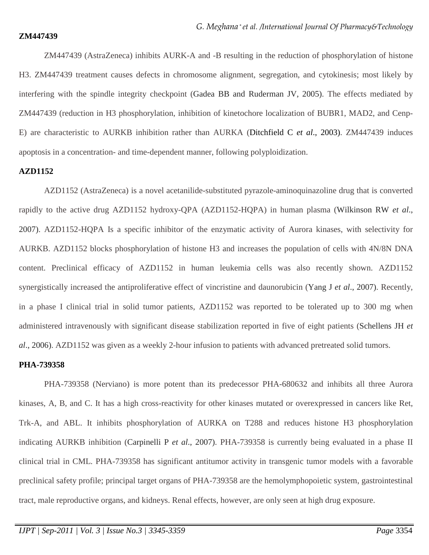#### **ZM447439**

ZM447439 (AstraZeneca) inhibits AURK-A and -B resulting in the reduction of phosphorylation of histone H3. ZM447439 treatment causes defects in chromosome alignment, segregation, and cytokinesis; most likely by interfering with the spindle integrity checkpoint (Gadea BB and Ruderman JV, 2005). The effects mediated by ZM447439 (reduction in H3 phosphorylation, inhibition of kinetochore localization of BUBR1, MAD2, and Cenp-E) are characteristic to AURKB inhibition rather than AURKA (Ditchfield C *et al*., 2003). ZM447439 induces apoptosis in a concentration- and time-dependent manner, following polyploidization.

# **AZD1152**

AZD1152 (AstraZeneca) is a novel acetanilide-substituted pyrazole-aminoquinazoline drug that is converted rapidly to the active drug AZD1152 hydroxy-QPA (AZD1152-HQPA) in human plasma (Wilkinson RW *et al*., 2007). AZD1152-HQPA Is a specific inhibitor of the enzymatic activity of Aurora kinases, with selectivity for AURKB. AZD1152 blocks phosphorylation of histone H3 and increases the population of cells with 4N/8N DNA content. Preclinical efficacy of AZD1152 in human leukemia cells was also recently shown. AZD1152 synergistically increased the antiproliferative effect of vincristine and daunorubicin (Yang J *et al*., 2007). Recently, in a phase I clinical trial in solid tumor patients, AZD1152 was reported to be tolerated up to 300 mg when administered intravenously with significant disease stabilization reported in five of eight patients (Schellens JH *et al*., 2006). AZD1152 was given as a weekly 2-hour infusion to patients with advanced pretreated solid tumors.

#### **PHA-739358**

PHA-739358 (Nerviano) is more potent than its predecessor PHA-680632 and inhibits all three Aurora kinases, A, B, and C. It has a high cross-reactivity for other kinases mutated or overexpressed in cancers like Ret, Trk-A, and ABL. It inhibits phosphorylation of AURKA on T288 and reduces histone H3 phosphorylation indicating AURKB inhibition (Carpinelli P *et al*., 2007). PHA-739358 is currently being evaluated in a phase II clinical trial in CML. PHA-739358 has significant antitumor activity in transgenic tumor models with a favorable preclinical safety profile; principal target organs of PHA-739358 are the hemolymphopoietic system, gastrointestinal tract, male reproductive organs, and kidneys. Renal effects, however, are only seen at high drug exposure.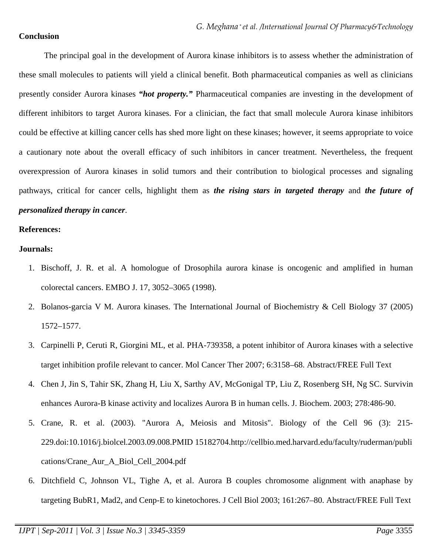### **Conclusion**

The principal goal in the development of Aurora kinase inhibitors is to assess whether the administration of these small molecules to patients will yield a clinical benefit. Both pharmaceutical companies as well as clinicians presently consider Aurora kinases *"hot property."* Pharmaceutical companies are investing in the development of different inhibitors to target Aurora kinases. For a clinician, the fact that small molecule Aurora kinase inhibitors could be effective at killing cancer cells has shed more light on these kinases; however, it seems appropriate to voice a cautionary note about the overall efficacy of such inhibitors in cancer treatment. Nevertheless, the frequent overexpression of Aurora kinases in solid tumors and their contribution to biological processes and signaling pathways, critical for cancer cells, highlight them as *the rising stars in targeted therapy* and *the future of personalized therapy in cancer*.

#### **References:**

#### **Journals:**

- 1. Bischoff, J. R. et al. A homologue of Drosophila aurora kinase is oncogenic and amplified in human colorectal cancers. EMBO J. 17, 3052–3065 (1998).
- 2. Bolanos-garcia V M. Aurora kinases. The International Journal of Biochemistry & Cell Biology 37 (2005) 1572–1577.
- 3. Carpinelli P, Ceruti R, Giorgini ML, et al. PHA-739358, a potent inhibitor of Aurora kinases with a selective target inhibition profile relevant to cancer. Mol Cancer Ther 2007; 6:3158–68. Abstract/FREE Full Text
- 4. Chen J, Jin S, Tahir SK, Zhang H, Liu X, Sarthy AV, McGonigal TP, Liu Z, Rosenberg SH, Ng SC. Survivin enhances Aurora-B kinase activity and localizes Aurora B in human cells. J. Biochem. 2003; 278:486-90.
- 5. Crane, R. et al. (2003). "Aurora A, Meiosis and Mitosis". Biology of the Cell 96 (3): 215- 229.doi:10.1016/j.biolcel.2003.09.008.PMID 15182704.http://cellbio.med.harvard.edu/faculty/ruderman/publi cations/Crane\_Aur\_A\_Biol\_Cell\_2004.pdf
- 6. Ditchfield C, Johnson VL, Tighe A, et al. Aurora B couples chromosome alignment with anaphase by targeting BubR1, Mad2, and Cenp-E to kinetochores. J Cell Biol 2003; 161:267–80. Abstract/FREE Full Text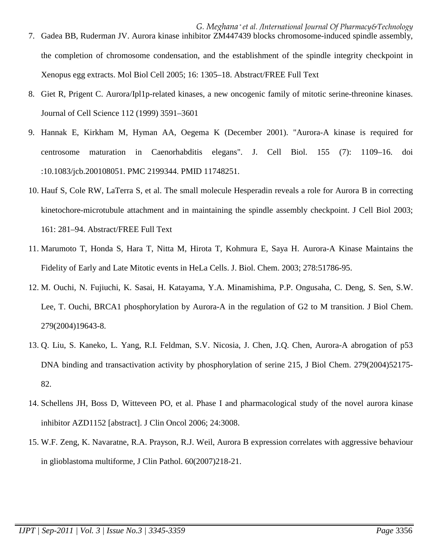- the completion of chromosome condensation, and the establishment of the spindle integrity checkpoint in Xenopus egg extracts. Mol Biol Cell 2005; 16: 1305–18. Abstract/FREE Full Text
- 8. Giet R, Prigent C. Aurora/Ipl1p-related kinases, a new oncogenic family of mitotic serine-threonine kinases. Journal of Cell Science 112 (1999) 3591–3601
- 9. Hannak E, Kirkham M, Hyman AA, Oegema K (December 2001). "Aurora-A kinase is required for centrosome maturation in Caenorhabditis elegans". J. Cell Biol. 155 (7): 1109–16. doi :10.1083/jcb.200108051. PMC 2199344. PMID 11748251.
- 10. Hauf S, Cole RW, LaTerra S, et al. The small molecule Hesperadin reveals a role for Aurora B in correcting kinetochore-microtubule attachment and in maintaining the spindle assembly checkpoint. J Cell Biol 2003; 161: 281–94. Abstract/FREE Full Text
- 11. Marumoto T, Honda S, Hara T, Nitta M, Hirota T, Kohmura E, Saya H. Aurora-A Kinase Maintains the Fidelity of Early and Late Mitotic events in HeLa Cells. J. Biol. Chem. 2003; 278:51786-95.
- 12. M. Ouchi, N. Fujiuchi, K. Sasai, H. Katayama, Y.A. Minamishima, P.P. Ongusaha, C. Deng, S. Sen, S.W. Lee, T. Ouchi, BRCA1 phosphorylation by Aurora-A in the regulation of G2 to M transition. J Biol Chem. 279(2004)19643-8.
- 13. Q. Liu, S. Kaneko, L. Yang, R.I. Feldman, S.V. Nicosia, J. Chen, J.Q. Chen, Aurora-A abrogation of p53 DNA binding and transactivation activity by phosphorylation of serine 215, J Biol Chem. 279(2004)52175- 82.
- 14. Schellens JH, Boss D, Witteveen PO, et al. Phase I and pharmacological study of the novel aurora kinase inhibitor AZD1152 [abstract]. J Clin Oncol 2006; 24:3008.
- 15. W.F. Zeng, K. Navaratne, R.A. Prayson, R.J. Weil, Aurora B expression correlates with aggressive behaviour in glioblastoma multiforme, J Clin Pathol. 60(2007)218-21.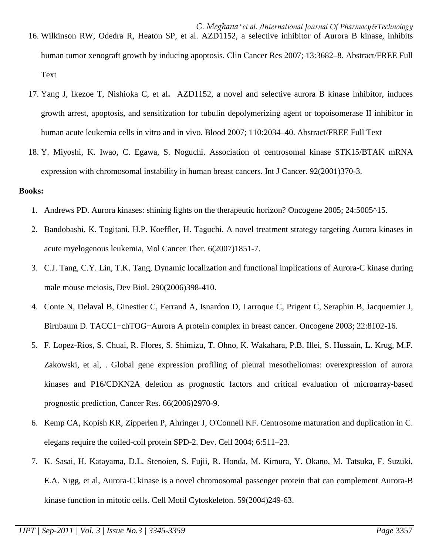- 16. Wilkinson RW, Odedra R, Heaton SP, et al. AZD1152, a selective inhibitor of Aurora B kinase, inhibits human tumor xenograft growth by inducing apoptosis. Clin Cancer Res 2007; 13:3682–8. Abstract/FREE Full Text
- 17. Yang J, Ikezoe T, Nishioka C, et al**.** AZD1152, a novel and selective aurora B kinase inhibitor, induces growth arrest, apoptosis, and sensitization for tubulin depolymerizing agent or topoisomerase II inhibitor in human acute leukemia cells in vitro and in vivo. Blood 2007; 110:2034–40. Abstract/FREE Full Text
- 18. Y. Miyoshi, K. Iwao, C. Egawa, S. Noguchi. Association of centrosomal kinase STK15/BTAK mRNA expression with chromosomal instability in human breast cancers. Int J Cancer. 92(2001)370-3.

#### **Books:**

- 1. Andrews PD. Aurora kinases: shining lights on the therapeutic horizon? Oncogene 2005; 24:5005^15.
- 2. Bandobashi, K. Togitani, H.P. Koeffler, H. Taguchi. A novel treatment strategy targeting Aurora kinases in acute myelogenous leukemia, Mol Cancer Ther. 6(2007)1851-7.
- 3. C.J. Tang, C.Y. Lin, T.K. Tang, Dynamic localization and functional implications of Aurora-C kinase during male mouse meiosis, Dev Biol. 290(2006)398-410.
- 4. Conte N, Delaval B, Ginestier C, Ferrand A, Isnardon D, Larroque C, Prigent C, Seraphin B, Jacquemier J, Birnbaum D. TACC1−chTOG−Aurora A protein complex in breast cancer. Oncogene 2003; 22:8102-16.
- 5. F. Lopez-Rios, S. Chuai, R. Flores, S. Shimizu, T. Ohno, K. Wakahara, P.B. Illei, S. Hussain, L. Krug, M.F. Zakowski, et al, . Global gene expression profiling of pleural mesotheliomas: overexpression of aurora kinases and P16/CDKN2A deletion as prognostic factors and critical evaluation of microarray-based prognostic prediction, Cancer Res. 66(2006)2970-9.
- 6. Kemp CA, Kopish KR, Zipperlen P, Ahringer J, O'Connell KF. Centrosome maturation and duplication in C. elegans require the coiled-coil protein SPD-2. Dev. Cell 2004; 6:511–23.
- 7. K. Sasai, H. Katayama, D.L. Stenoien, S. Fujii, R. Honda, M. Kimura, Y. Okano, M. Tatsuka, F. Suzuki, E.A. Nigg, et al, Aurora-C kinase is a novel chromosomal passenger protein that can complement Aurora-B kinase function in mitotic cells. Cell Motil Cytoskeleton. 59(2004)249-63.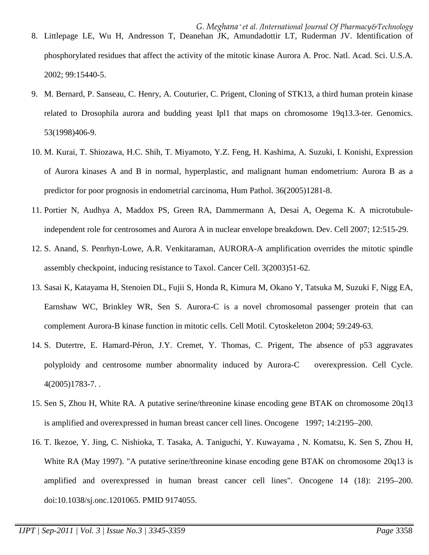- 8. Littlepage LE, Wu H, Andresson T, Deanehan JK, Amundadottir LT, Ruderman JV. Identification of phosphorylated residues that affect the activity of the mitotic kinase Aurora A. Proc. Natl. Acad. Sci. U.S.A. 2002; 99:15440-5.
- 9. M. Bernard, P. Sanseau, C. Henry, A. Couturier, C. Prigent, Cloning of STK13, a third human protein kinase related to Drosophila aurora and budding yeast Ipl1 that maps on chromosome 19q13.3-ter. Genomics. 53(1998)406-9.
- 10. M. Kurai, T. Shiozawa, H.C. Shih, T. Miyamoto, Y.Z. Feng, H. Kashima, A. Suzuki, I. Konishi, Expression of Aurora kinases A and B in normal, hyperplastic, and malignant human endometrium: Aurora B as a predictor for poor prognosis in endometrial carcinoma, Hum Pathol. 36(2005)1281-8.
- 11. Portier N, Audhya A, Maddox PS, Green RA, Dammermann A, Desai A, Oegema K. A microtubuleindependent role for centrosomes and Aurora A in nuclear envelope breakdown. Dev. Cell 2007; 12:515-29.
- 12. S. Anand, S. Penrhyn-Lowe, A.R. Venkitaraman, AURORA-A amplification overrides the mitotic spindle assembly checkpoint, inducing resistance to Taxol. Cancer Cell. 3(2003)51-62.
- 13. Sasai K, Katayama H, Stenoien DL, Fujii S, Honda R, Kimura M, Okano Y, Tatsuka M, Suzuki F, Nigg EA, Earnshaw WC, Brinkley WR, Sen S. Aurora-C is a novel chromosomal passenger protein that can complement Aurora-B kinase function in mitotic cells. Cell Motil. Cytoskeleton 2004; 59:249-63.
- 14. S. Dutertre, E. Hamard-Péron, J.Y. Cremet, Y. Thomas, C. Prigent, The absence of p53 aggravates polyploidy and centrosome number abnormality induced by Aurora-C overexpression. Cell Cycle. 4(2005)1783-7. .
- 15. Sen S, Zhou H, White RA. A putative serine/threonine kinase encoding gene BTAK on chromosome 20q13 is amplified and overexpressed in human breast cancer cell lines. Oncogene 1997; 14:2195–200.
- 16. T. Ikezoe, Y. Jing, C. Nishioka, T. Tasaka, A. Taniguchi, Y. Kuwayama , N. Komatsu, K. Sen S, Zhou H, White RA (May 1997). "A putative serine/threonine kinase encoding gene BTAK on chromosome 20q13 is amplified and overexpressed in human breast cancer cell lines". Oncogene 14 (18): 2195–200. doi:10.1038/sj.onc.1201065. PMID 9174055.